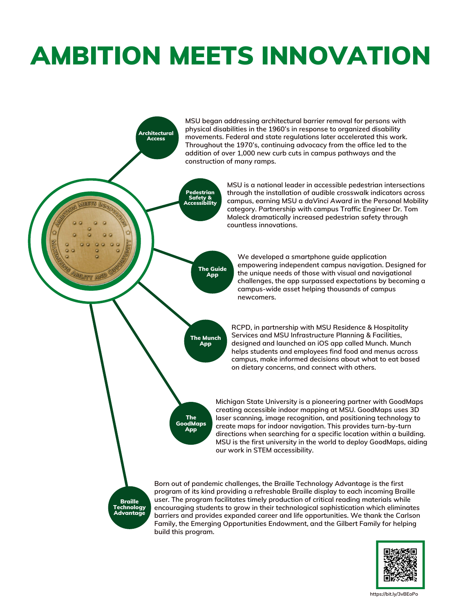## AMBITION MEETS INNOVATION